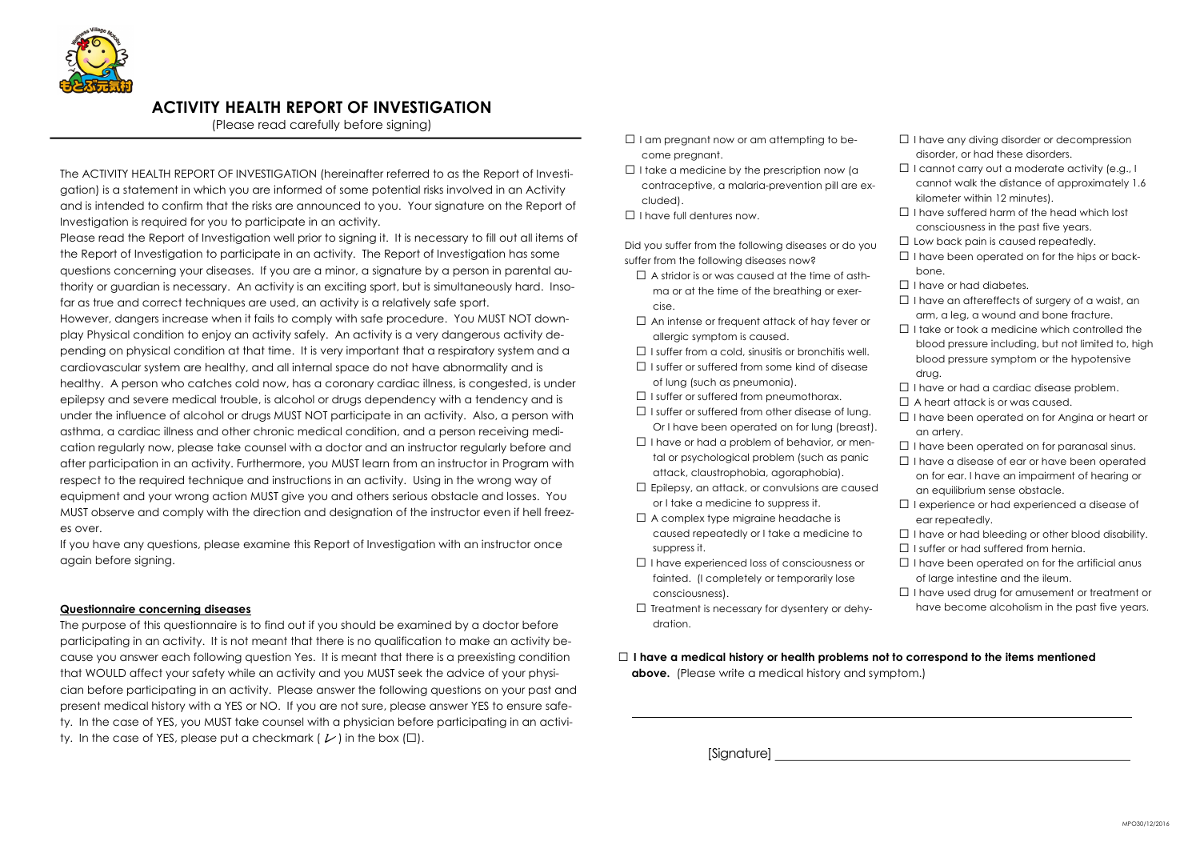

1

## ACTIVITY HEALTH REPORT OF INVESTIGATION

(Please read carefully before signing)

The ACTIVITY HEALTH REPORT OF INVESTIGATION (hereinafter referred to as the Report of Investigation) is a statement in which you are informed of some potential risks involved in an Activity and is intended to confirm that the risks are announced to you. Your signature on the Report of Investigation is required for you to participate in an activity.

Please read the Report of Investigation well prior to signing it. It is necessary to fill out all items of the Report of Investigation to participate in an activity. The Report of Investigation has some questions concerning your diseases. If you are a minor, a signature by a person in parental authority or guardian is necessary. An activity is an exciting sport, but is simultaneously hard. Insofar as true and correct techniques are used, an activity is a relatively safe sport.

The purpose of this questionnaire is to find out if you should be examined by a doctor before participating in an activity. It is not meant that there is no qualification to make an activity because you answer each following question Yes. It is meant that there is a preexisting condition that WOULD affect your safety while an activity and you MUST seek the advice of your physician before participating in an activity. Please answer the following questions on your past and present medical history with a YES or NO. If you are not sure, please answer YES to ensure safety. In the case of YES, you MUST take counsel with a physician before participating in an activity. In the case of YES, please put a checkmark (  $\nu$  ) in the box ( $\square$ ).

However, dangers increase when it fails to comply with safe procedure. You MUST NOT downplay Physical condition to enjoy an activity safely. An activity is a very dangerous activity depending on physical condition at that time. It is very important that a respiratory system and a cardiovascular system are healthy, and all internal space do not have abnormality and is healthy. A person who catches cold now, has a coronary cardiac illness, is congested, is under epilepsy and severe medical trouble, is alcohol or drugs dependency with a tendency and is under the influence of alcohol or drugs MUST NOT participate in an activity. Also, a person with asthma, a cardiac illness and other chronic medical condition, and a person receiving medication regularly now, please take counsel with a doctor and an instructor regularly before and after participation in an activity. Furthermore, you MUST learn from an instructor in Program with respect to the required technique and instructions in an activity. Using in the wrong way of equipment and your wrong action MUST give you and others serious obstacle and losses. You MUST observe and comply with the direction and designation of the instructor even if hell freezes over.

- $\Box$  I am pregnant now or am attempting to become pregnant.
- $\Box$  I take a medicine by the prescription now (a contraceptive, a malaria-prevention pill are excluded).
- □ I have full dentures now.

If you have any questions, please examine this Report of Investigation with an instructor once again before signing.

- $\Box$  A stridor is or was caused at the time of asthma or at the time of the breathing or exercise.
- $\square$  An intense or frequent attack of hay fever or allergic symptom is caused.
- $\Box$  I suffer from a cold, sinusitis or bronchitis well.
- $\Box$  I suffer or suffered from some kind of disease of lung (such as pneumonia).
- $\Box$  I suffer or suffered from pneumothorax.
- $\Box$  I suffer or suffered from other disease of lung. Or I have been operated on for lung (breast).
- $\Box$  I have or had a problem of behavior, or mental or psychological problem (such as panic attack, claustrophobia, agoraphobia).
- $\square$  Epilepsy, an attack, or convulsions are caused or I take a medicine to suppress it.
- $\Box$  A complex type migraine headache is caused repeatedly or I take a medicine to suppress it.
- □ I have experienced loss of consciousness or fainted. (I completely or temporarily lose consciousness).
- $\square$  Treatment is necessary for dysentery or dehydration.

 $\Box$  I have a medical history or health problems not to correspond to the items mentioned above. (Please write a medical history and symptom.)

## Questionnaire concerning diseases

- □ I have any diving disorder or decompression disorder, or had these disorders.
- $\Box$  I cannot carry out a moderate activity (e.g., I cannot walk the distance of approximately 1.6 kilometer within 12 minutes).
- □ I have suffered harm of the head which lost consciousness in the past five years.
- $\Box$  Low back pain is caused repeatedly.
- $\Box$  I have been operated on for the hips or backbone.
- □ I have or had diabetes.
- □ I have an aftereffects of surgery of a waist, an arm, a leg, a wound and bone fracture.
- $\Box$  I take or took a medicine which controlled the blood pressure including, but not limited to, high blood pressure symptom or the hypotensive drug.
- $\Box$  I have or had a cardiac disease problem.
- $\Box$  A heart attack is or was caused.
- □ I have been operated on for Angina or heart or an artery.
- $\Box$  I have been operated on for paranasal sinus.
- $\Box$  I have a disease of ear or have been operated on for ear. I have an impairment of hearing or an equilibrium sense obstacle.
- □ I experience or had experienced a disease of ear repeatedly.
- $\Box$  I have or had bleeding or other blood disability.
- $\Box$  I suffer or had suffered from hernia.
- $\Box$  I have been operated on for the artificial anus of large intestine and the ileum.
- □ I have used drug for amusement or treatment or have become alcoholism in the past five years.

[Signature]

Did you suffer from the following diseases or do you suffer from the following diseases now?